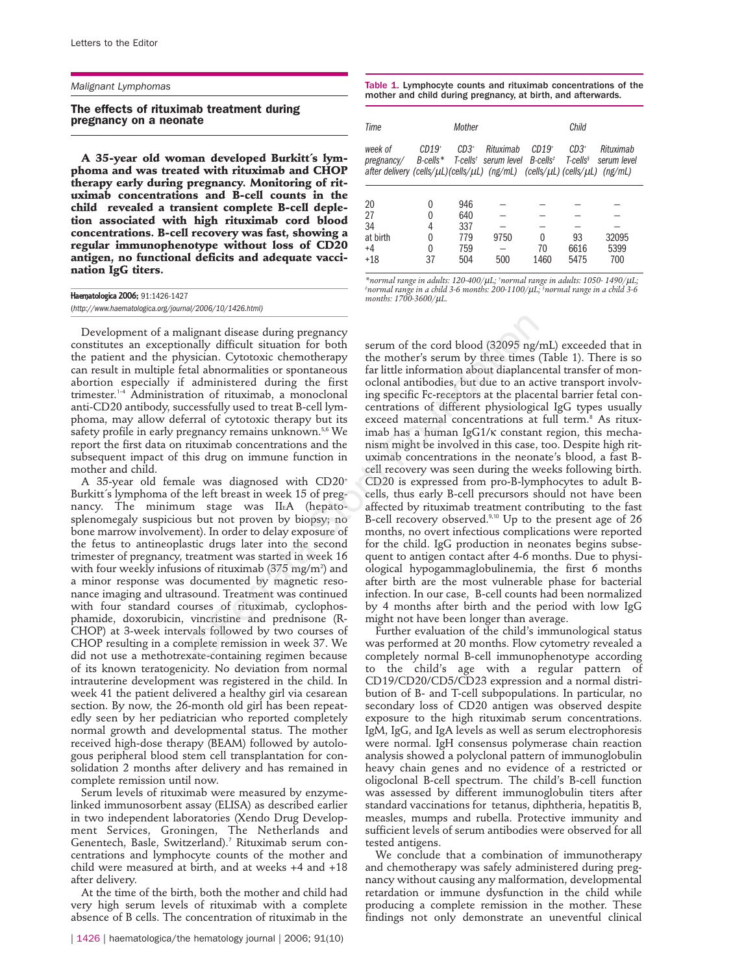## *Malignant Lymphomas*

## **The effects of rituximab treatment during pregnancy on a neonate**

**A 35-year old woman developed Burkitt´s lymphoma and was treated with rituximab and CHOP therapy early during pregnancy. Monitoring of rituximab concentrations and B-cell counts in the child revealed a transient complete B-cell depletion associated with high rituximab cord blood concentrations. B-cell recovery was fast, showing a regular immunophenotype without loss of CD20 antigen, no functional deficits and adequate vaccination IgG titers.**

| Haematologica 2006; 91:1426-1427                         |  |
|----------------------------------------------------------|--|
| (http://www.haematologica.org/journal/2006/10/1426.html) |  |

Development of a malignant disease during pregnancy constitutes an exceptionally difficult situation for both the patient and the physician. Cytotoxic chemotherapy can result in multiple fetal abnormalities or spontaneous abortion especially if administered during the first trimester.1-4 Administration of rituximab, a monoclonal anti-CD20 antibody, successfully used to treat B-cell lymphoma, may allow deferral of cytotoxic therapy but its safety profile in early pregnancy remains unknown.<sup>5,6</sup> We report the first data on rituximab concentrations and the subsequent impact of this drug on immune function in mother and child.

A 35-year old female was diagnosed with CD20+ Burkitt´s lymphoma of the left breast in week 15 of pregnancy. The minimum stage was IIEA (hepatosplenomegaly suspicious but not proven by biopsy; no bone marrow involvement). In order to delay exposure of the fetus to antineoplastic drugs later into the second trimester of pregnancy, treatment was started in week 16 with four weekly infusions of rituximab (375  $\rm mg/m^2$ ) and a minor response was documented by magnetic resonance imaging and ultrasound. Treatment was continued with four standard courses of rituximab, cyclophosphamide, doxorubicin, vincristine and prednisone (R-CHOP) at 3-week intervals followed by two courses of CHOP resulting in a complete remission in week 37. We did not use a methotrexate-containing regimen because of its known teratogenicity. No deviation from normal intrauterine development was registered in the child. In week 41 the patient delivered a healthy girl via cesarean section. By now, the 26-month old girl has been repeatedly seen by her pediatrician who reported completely normal growth and developmental status. The mother received high-dose therapy (BEAM) followed by autologous peripheral blood stem cell transplantation for consolidation 2 months after delivery and has remained in complete remission until now.

Serum levels of rituximab were measured by enzymelinked immunosorbent assay (ELISA) as described earlier in two independent laboratories (Xendo Drug Development Services, Groningen, The Netherlands and Genentech, Basle, Switzerland).<sup>7</sup> Rituximab serum concentrations and lymphocyte counts of the mother and child were measured at birth, and at weeks +4 and +18 after delivery.

At the time of the birth, both the mother and child had very high serum levels of rituximab with a complete absence of B cells. The concentration of rituximab in the

Table 1. Lymphocyte counts and rituximab concentrations of the mother and child during pregnancy, at birth, and afterwards.

| Time                                                                                                                   |                             | Mother                                 |                                               |                                    | Child                           |                                     |
|------------------------------------------------------------------------------------------------------------------------|-----------------------------|----------------------------------------|-----------------------------------------------|------------------------------------|---------------------------------|-------------------------------------|
| week of<br>pregnancy/<br>after delivery (cells/ $\mu L$ )(cells/ $\mu L$ ) (ng/mL) (cells/ $\mu L$ ) (cells/ $\mu L$ ) | $CD19+$<br>B-cells*         | $CD.3^+$                               | Rituximah<br>T-cells <sup>t</sup> serum level | $CD19+$<br>$B$ -cells <sup>‡</sup> | $CD3^+$<br>T-cells <sup>§</sup> | Rituximab<br>serum level<br>(ng/mL) |
| 20<br>27<br>34<br>at birth<br>$+4$<br>$+18$                                                                            | 0<br>N<br>4<br>0<br>0<br>37 | 946<br>640<br>337<br>779<br>759<br>504 | 9750<br>500                                   | 0<br>70<br>1460                    | 93<br>6616<br>5475              | 32095<br>5399<br>700                |

\*normal range in adults: 120-400/µL; †normal range in adults: 1050- 1490/µL;<br>‡normal range in a child 3-6 months: 200-1100/µL; <sup>\$</sup>normal range in a child 3-6 *months: 1700-3600/*µ*L.*

serum of the cord blood (32095 ng/mL) exceeded that in the mother's serum by three times (Table 1). There is so far little information about diaplancental transfer of monoclonal antibodies, but due to an active transport involving specific Fc-receptors at the placental barrier fetal concentrations of different physiological IgG types usually exceed maternal concentrations at full term.<sup>8</sup> As rituximab has a human IgG1/κ constant region, this mechanism might be involved in this case, too. Despite high rituximab concentrations in the neonate's blood, a fast Bcell recovery was seen during the weeks following birth. CD20 is expressed from pro-B-lymphocytes to adult Bcells, thus early B-cell precursors should not have been affected by rituximab treatment contributing to the fast B-cell recovery observed.9,10 Up to the present age of 26 months, no overt infectious complications were reported for the child. IgG production in neonates begins subsequent to antigen contact after 4-6 months. Due to physiological hypogammaglobulinemia, the first 6 months after birth are the most vulnerable phase for bacterial infection. In our case, B-cell counts had been normalized by 4 months after birth and the period with low IgG might not have been longer than average. alignant disease during pregnancy<br>
sulgnant disease during pregnancy<br>
mally difficult situation for both<br>
serum of the cord blood (32095 ng/<br>
systician. Cytotoxic chemotherapy<br>
the mother's serum by three times<br>
ta admini

Further evaluation of the child's immunological status was performed at 20 months. Flow cytometry revealed a completely normal B-cell immunophenotype according to the child's age with a regular pattern of CD19/CD20/CD5/CD23 expression and a normal distribution of B- and T-cell subpopulations. In particular, no secondary loss of CD20 antigen was observed despite exposure to the high rituximab serum concentrations. IgM, IgG, and IgA levels as well as serum electrophoresis were normal. IgH consensus polymerase chain reaction analysis showed a polyclonal pattern of immunoglobulin heavy chain genes and no evidence of a restricted or oligoclonal B-cell spectrum. The child's B-cell function was assessed by different immunoglobulin titers after standard vaccinations for tetanus, diphtheria, hepatitis B, measles, mumps and rubella. Protective immunity and sufficient levels of serum antibodies were observed for all tested antigens.

We conclude that a combination of immunotherapy and chemotherapy was safely administered during pregnancy without causing any malformation, developmental retardation or immune dysfunction in the child while producing a complete remission in the mother. These findings not only demonstrate an uneventful clinical